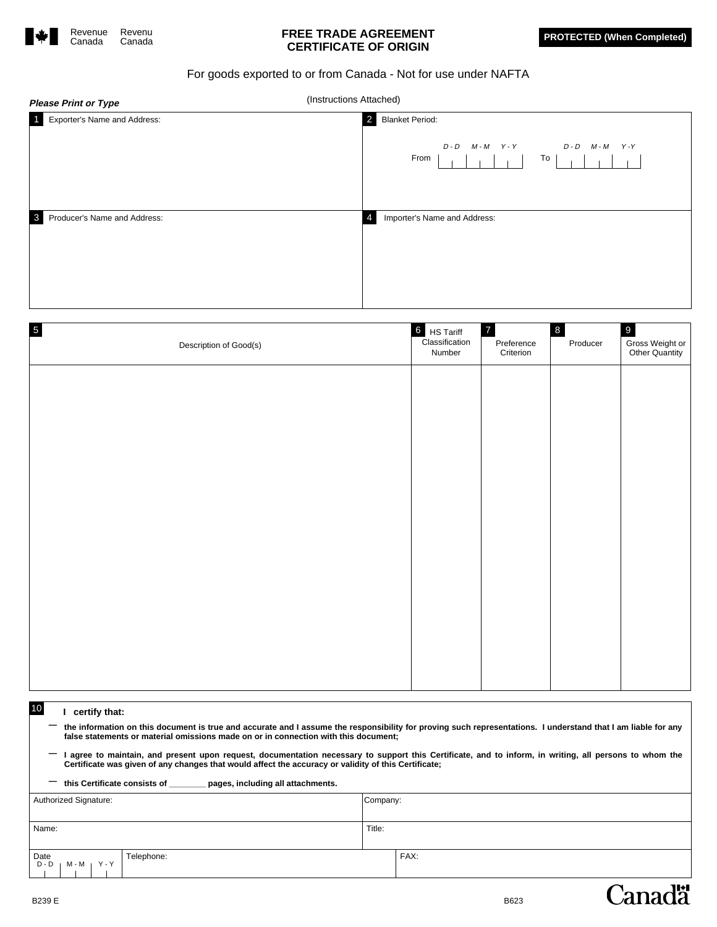

# **FREE TRADE AGREEMENT CERTIFICATE OF ORIGIN**

# For goods exported to or from Canada - Not for use under NAFTA

| <b>Please Print or Type</b>                    | (Instructions Attached)                                                                                   |
|------------------------------------------------|-----------------------------------------------------------------------------------------------------------|
| Exporter's Name and Address:<br>$\blacksquare$ | $\overline{2}$<br><b>Blanket Period:</b><br>$D - D$ $M - M$ $Y - Y$ $D - D$ $M - M$ $Y - Y$<br>From<br>To |
| $\mathbf{3}$<br>Producer's Name and Address:   | Importer's Name and Address:                                                                              |

| $\overline{\mathbf{5}}$ | Description of Good(s) | 6 HS Tariff<br>Classification<br>Number | $\overline{z}$<br>Preference<br>Criterion | 8<br>Producer | 9<br>Gross Weight or<br>Other Quantity |
|-------------------------|------------------------|-----------------------------------------|-------------------------------------------|---------------|----------------------------------------|
|                         |                        |                                         |                                           |               |                                        |
|                         |                        |                                         |                                           |               |                                        |
|                         |                        |                                         |                                           |               |                                        |
|                         |                        |                                         |                                           |               |                                        |
|                         |                        |                                         |                                           |               |                                        |
|                         |                        |                                         |                                           |               |                                        |
|                         |                        |                                         |                                           |               |                                        |
|                         |                        |                                         |                                           |               |                                        |

#### 10 **I certify that:**

the information on this document is true and accurate and I assume the responsibility for proving such representations. I understand that I am liable for any<br>false statements or material omissions made on or in connection **—**

l agree to maintain, and present upon request, documentation necessary to support this Certificate, and to inform, in writing, all persons to whom the<br>Certificate was given of any changes that would affect the accuracy or **—**

## **this Certificate consists of \_\_\_\_\_\_\_\_ pages, including all attachments. —**

| Authorized Signature:   |            | Company: |      |
|-------------------------|------------|----------|------|
| Name:                   |            | Title:   |      |
| Date<br>D-D   M-M   Y-Y | Telephone: |          | FAX: |

**lä** 

Canad